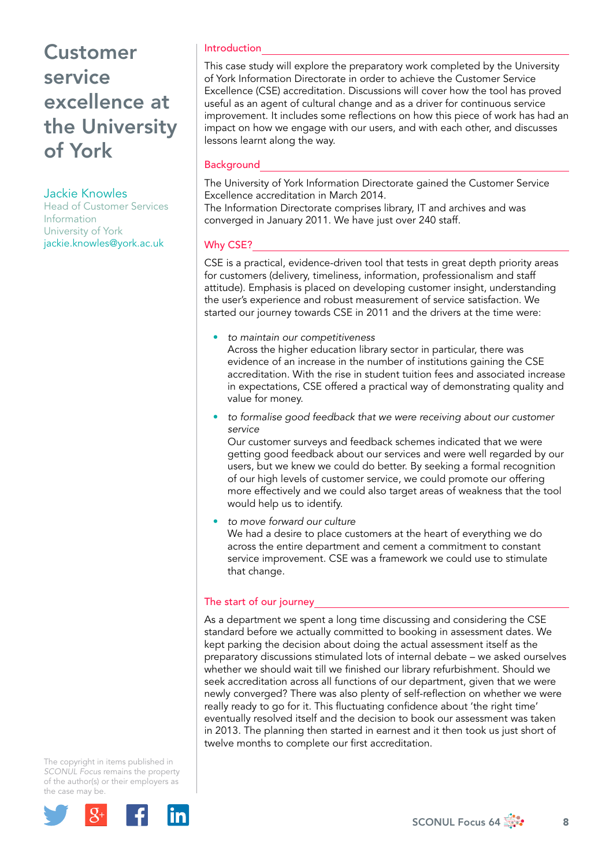## Jackie Knowles

Head of Customer Services Information University of York jackie.knowles@york.ac.uk

## Introduction

This case study will explore the preparatory work completed by the University of York Information Directorate in order to achieve the Customer Service Excellence (CSE) accreditation. Discussions will cover how the tool has proved useful as an agent of cultural change and as a driver for continuous service improvement. It includes some reflections on how this piece of work has had an impact on how we engage with our users, and with each other, and discusses lessons learnt along the way.

### **Background**

The University of York Information Directorate gained the Customer Service Excellence accreditation in March 2014.

The Information Directorate comprises library, IT and archives and was converged in January 2011. We have just over 240 staff.

## Why CSE?

CSE is a practical, evidence-driven tool that tests in great depth priority areas for customers (delivery, timeliness, information, professionalism and staff attitude). Emphasis is placed on developing customer insight, understanding the user's experience and robust measurement of service satisfaction. We started our journey towards CSE in 2011 and the drivers at the time were:

• *to maintain our competitiveness*

Across the higher education library sector in particular, there was evidence of an increase in the number of institutions gaining the CSE accreditation. With the rise in student tuition fees and associated increase in expectations, CSE offered a practical way of demonstrating quality and value for money.

• *to formalise good feedback that we were receiving about our customer service*

Our customer surveys and feedback schemes indicated that we were getting good feedback about our services and were well regarded by our users, but we knew we could do better. By seeking a formal recognition of our high levels of customer service, we could promote our offering more effectively and we could also target areas of weakness that the tool would help us to identify.

• *to move forward our culture* We had a desire to place customers at the heart of everything we do across the entire department and cement a commitment to constant service improvement. CSE was a framework we could use to stimulate that change.

## The start of our journey

As a department we spent a long time discussing and considering the CSE standard before we actually committed to booking in assessment dates. We kept parking the decision about doing the actual assessment itself as the preparatory discussions stimulated lots of internal debate – we asked ourselves whether we should wait till we finished our library refurbishment. Should we seek accreditation across all functions of our department, given that we were newly converged? There was also plenty of self-reflection on whether we were really ready to go for it. This fluctuating confidence about 'the right time' eventually resolved itself and the decision to book our assessment was taken in 2013. The planning then started in earnest and it then took us just short of twelve months to complete our first accreditation.

The copyright in items published in *SCONUL Focus* remains the property of the author(s) or their employers as the case m[ay be.](http://plus.google.com/share?url=http://www.sconul.ac.uk/page/focus-64)

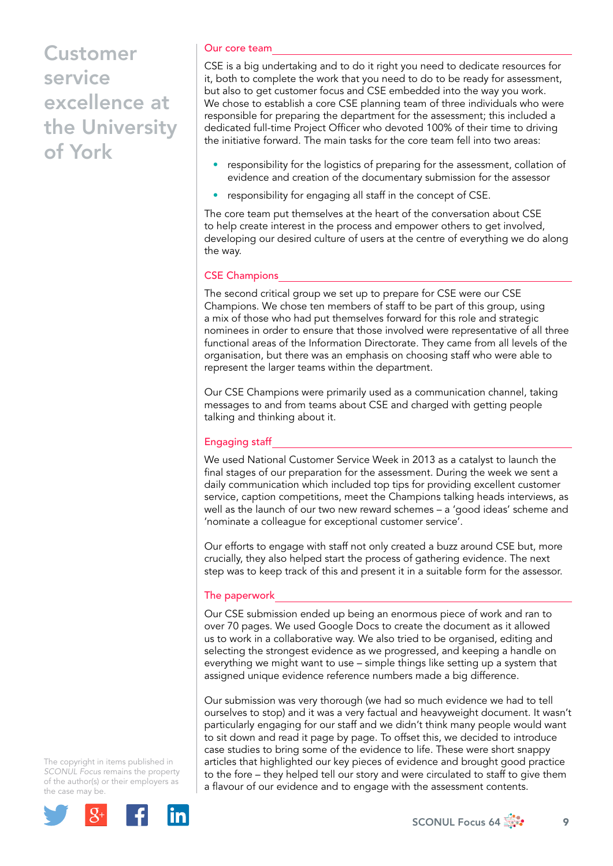### Our core team

CSE is a big undertaking and to do it right you need to dedicate resources for it, both to complete the work that you need to do to be ready for assessment, but also to get customer focus and CSE embedded into the way you work. We chose to establish a core CSE planning team of three individuals who were responsible for preparing the department for the assessment; this included a dedicated full-time Project Officer who devoted 100% of their time to driving the initiative forward. The main tasks for the core team fell into two areas:

- responsibility for the logistics of preparing for the assessment, collation of evidence and creation of the documentary submission for the assessor
- responsibility for engaging all staff in the concept of CSE.

The core team put themselves at the heart of the conversation about CSE to help create interest in the process and empower others to get involved, developing our desired culture of users at the centre of everything we do along the way.

### CSE Champions

The second critical group we set up to prepare for CSE were our CSE Champions. We chose ten members of staff to be part of this group, using a mix of those who had put themselves forward for this role and strategic nominees in order to ensure that those involved were representative of all three functional areas of the Information Directorate. They came from all levels of the organisation, but there was an emphasis on choosing staff who were able to represent the larger teams within the department.

Our CSE Champions were primarily used as a communication channel, taking messages to and from teams about CSE and charged with getting people talking and thinking about it.

## Engaging staff

We used National Customer Service Week in 2013 as a catalyst to launch the final stages of our preparation for the assessment. During the week we sent a daily communication which included top tips for providing excellent customer service, caption competitions, meet the Champions talking heads interviews, as well as the launch of our two new reward schemes – a 'good ideas' scheme and 'nominate a colleague for exceptional customer service'.

Our efforts to engage with staff not only created a buzz around CSE but, more crucially, they also helped start the process of gathering evidence. The next step was to keep track of this and present it in a suitable form for the assessor.

### The paperwork

Our CSE submission ended up being an enormous piece of work and ran to over 70 pages. We used Google Docs to create the document as it allowed us to work in a collaborative way. We also tried to be organised, editing and selecting the strongest evidence as we progressed, and keeping a handle on everything we might want to use – simple things like setting up a system that assigned unique evidence reference numbers made a big difference.

Our submission was very thorough (we had so much evidence we had to tell ourselves to stop) and it was a very factual and heavyweight document. It wasn't particularly engaging for our staff and we didn't think many people would want to sit down and read it page by page. To offset this, we decided to introduce case studies to bring some of the evidence to life. These were short snappy articles that highlighted our key pieces of evidence and brought good practice to the fore – they helped tell our story and were circulated to staff to give them a flavour of our evidence and to engage with the assessment contents.

The copyright in items published in *SCONUL Focus* remains the property of the author(s) or their employers as the case m[ay be.](http://plus.google.com/share?url=http://www.sconul.ac.uk/page/focus-64)



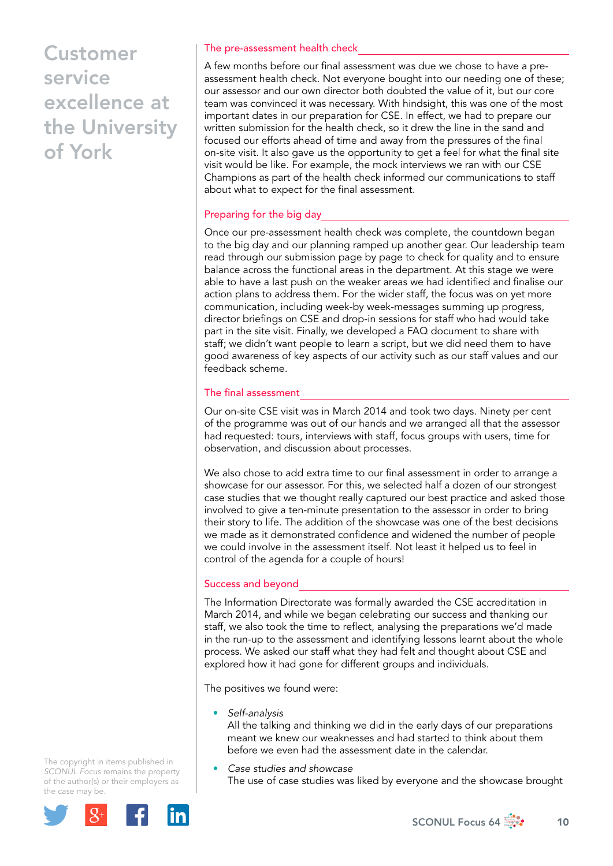#### The pre-assessment health check

A few months before our final assessment was due we chose to have a preassessment health check. Not everyone bought into our needing one of these; our assessor and our own director both doubted the value of it, but our core team was convinced it was necessary. With hindsight, this was one of the most important dates in our preparation for CSE. In effect, we had to prepare our written submission for the health check, so it drew the line in the sand and focused our efforts ahead of time and away from the pressures of the final on-site visit. It also gave us the opportunity to get a feel for what the final site visit would be like. For example, the mock interviews we ran with our CSE Champions as part of the health check informed our communications to staff about what to expect for the final assessment.

### Preparing for the big day

Once our pre-assessment health check was complete, the countdown began to the big day and our planning ramped up another gear. Our leadership team read through our submission page by page to check for quality and to ensure balance across the functional areas in the department. At this stage we were able to have a last push on the weaker areas we had identified and finalise our action plans to address them. For the wider staff, the focus was on yet more communication, including week-by week-messages summing up progress, director briefings on CSE and drop-in sessions for staff who had would take part in the site visit. Finally, we developed a FAQ document to share with staff; we didn't want people to learn a script, but we did need them to have good awareness of key aspects of our activity such as our staff values and our feedback scheme.

#### The final assessment

Our on-site CSE visit was in March 2014 and took two days. Ninety per cent of the programme was out of our hands and we arranged all that the assessor had requested: tours, interviews with staff, focus groups with users, time for observation, and discussion about processes.

We also chose to add extra time to our final assessment in order to arrange a showcase for our assessor. For this, we selected half a dozen of our strongest case studies that we thought really captured our best practice and asked those involved to give a ten-minute presentation to the assessor in order to bring their story to life. The addition of the showcase was one of the best decisions we made as it demonstrated confidence and widened the number of people we could involve in the assessment itself. Not least it helped us to feel in control of the agenda for a couple of hours!

#### Success and beyond

The Information Directorate was formally awarded the CSE accreditation in March 2014, and while we began celebrating our success and thanking our staff, we also took the time to reflect, analysing the preparations we'd made in the run-up to the assessment and identifying lessons learnt about the whole process. We asked our staff what they had felt and thought about CSE and explored how it had gone for different groups and individuals.

The positives we found were:

• *Self-analysis*

All the talking and thinking we did in the early days of our preparations meant we knew our weaknesses and had started to think about them before we even had the assessment date in the calendar.

• *Case studies and showcase* The use of case studies was liked by everyone and the showcase brought

The copyright in items published in *SCONUL Focus* remains the property of the author(s) or their employers as the case m[ay be.](http://plus.google.com/share?url=http://www.sconul.ac.uk/page/focus-64)



SCONUL Focus 64  $\frac{1}{200}$  10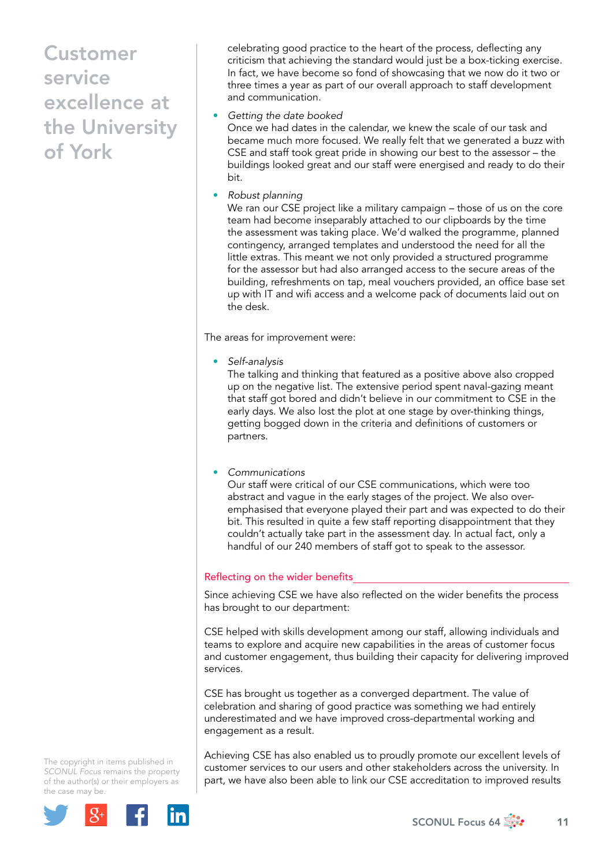celebrating good practice to the heart of the process, deflecting any criticism that achieving the standard would just be a box-ticking exercise. In fact, we have become so fond of showcasing that we now do it two or three times a year as part of our overall approach to staff development and communication.

#### • *Getting the date booked*

Once we had dates in the calendar, we knew the scale of our task and became much more focused. We really felt that we generated a buzz with CSE and staff took great pride in showing our best to the assessor – the buildings looked great and our staff were energised and ready to do their bit.

• *Robust planning*

We ran our CSE project like a military campaign – those of us on the core team had become inseparably attached to our clipboards by the time the assessment was taking place. We'd walked the programme, planned contingency, arranged templates and understood the need for all the little extras. This meant we not only provided a structured programme for the assessor but had also arranged access to the secure areas of the building, refreshments on tap, meal vouchers provided, an office base set up with IT and wifi access and a welcome pack of documents laid out on the desk.

The areas for improvement were:

• *Self-analysis*

The talking and thinking that featured as a positive above also cropped up on the negative list. The extensive period spent naval-gazing meant that staff got bored and didn't believe in our commitment to CSE in the early days. We also lost the plot at one stage by over-thinking things, getting bogged down in the criteria and definitions of customers or partners.

• *Communications*

Our staff were critical of our CSE communications, which were too abstract and vague in the early stages of the project. We also overemphasised that everyone played their part and was expected to do their bit. This resulted in quite a few staff reporting disappointment that they couldn't actually take part in the assessment day. In actual fact, only a handful of our 240 members of staff got to speak to the assessor.

### Reflecting on the wider benefits

Since achieving CSE we have also reflected on the wider benefits the process has brought to our department:

CSE helped with skills development among our staff, allowing individuals and teams to explore and acquire new capabilities in the areas of customer focus and customer engagement, thus building their capacity for delivering improved services.

CSE has brought us together as a converged department. The value of celebration and sharing of good practice was something we had entirely underestimated and we have improved cross-departmental working and engagement as a result.

The copyright in items published in *SCONUL Focus* remains the property of the author(s) or their employers as the case m[ay be.](http://plus.google.com/share?url=http://www.sconul.ac.uk/page/focus-64)



Achieving CSE has also enabled us to proudly promote our excellent levels of customer services to our users and other stakeholders across the university. In part, we have also been able to link our CSE accreditation to improved results